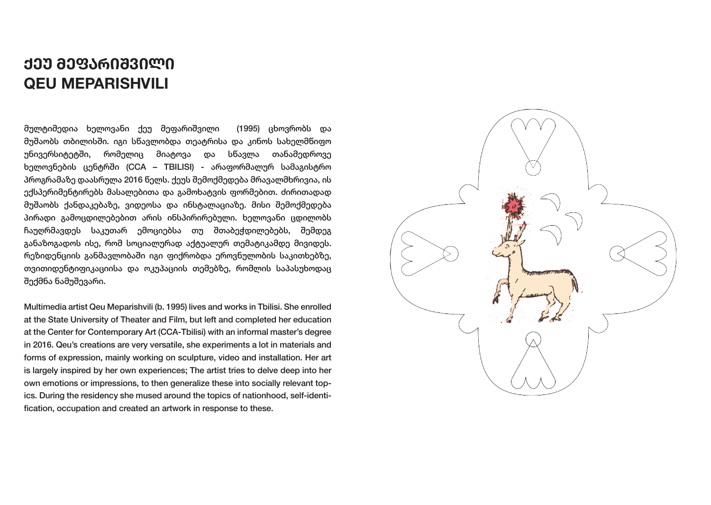# **ᲥᲔᲣ ᲛᲔᲤᲐᲠᲘᲨᲕᲘᲚᲘ QEU MEPARISHVILI**

მულტიმედია ხელოვანი ქეუ მეფარიშვილი (1995) ცხოვრობს და მუშაობს თბილისში. იგი სწავლობდა თეატრისა და კინოს სახელმწიფო უნივერსიტეტში, რომელიც მიატოვა და სწავლა თანამედროვე ხელოვნების ცენტრში (CCA – TBILISI) - არაფორმალურ სამაგისტრო პროგრამაზე დაასრულა 2016 წელს. ქეუს შემოქმედება მრავალმხრივია, ის ექსპერიმენტირებს მასალებითა და გამოხატვის ფორმებით. ძირითადად მუშაობს ქანდაკებაზე, ვიდეოსა და ინსტალაციაზე. მისი შემოქმედება პირადი გამოცდილებებით არის ინსპირირებული. ხელოვანი ცდილობს ჩაუღრმავდეს საკუთარ ემოციებსა თუ შთაბეჭდილებებს, შემდეგ განაზოგადოს ისე, რომ სოციალურად აქტუალურ თემატიკამდე მივიდეს. რეზიდენციის განმავლობაში იგი ფიქრობდა ეროვნულობის საკითხებზე, თვითიდენტიფიკაციისა და ოკუპაციის თემებზე, რომლის საპასუხოდაც შექმნა ნამუშევარი.

Multimedia artist Qeu Meparishvili (b. 1995) lives and works in Tbilisi. She enrolled at the State University of Theater and Film, but left and completed her education at the Center for Contemporary Art (CCA-Tbilisi) with an informal master's degree in 2016. Qeu's creations are very versatile, she experiments a lot in materials and forms of expression, mainly working on sculpture, video and installation. Her art is largely inspired by her own experiences; The artist tries to delve deep into her own emotions or impressions, to then generalize these into socially relevant topics. During the residency she mused around the topics of nationhood, self-identification, occupation and created an artwork in response to these.